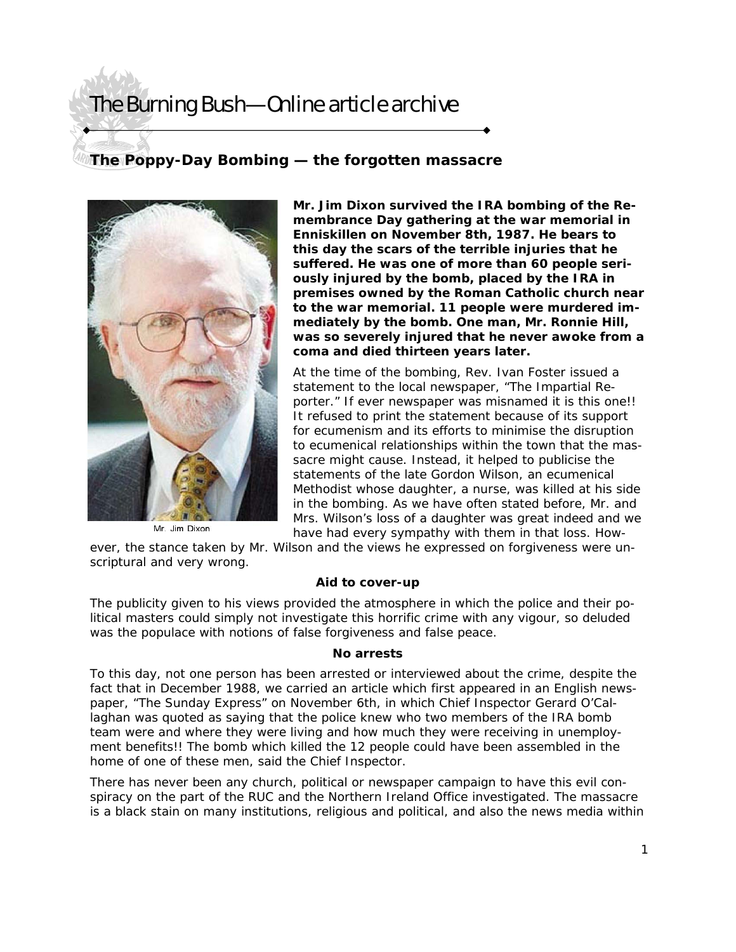# The Burning Bush—Online article archive

### **The Poppy-Day Bombing — the forgotten massacre**



Mr. Jim Dixon

**Mr. Jim Dixon survived the IRA bombing of the Remembrance Day gathering at the war memorial in Enniskillen on November 8th, 1987. He bears to this day the scars of the terrible injuries that he suffered. He was one of more than 60 people seriously injured by the bomb, placed by the IRA in premises owned by the Roman Catholic church near to the war memorial. 11 people were murdered immediately by the bomb. One man, Mr. Ronnie Hill, was so severely injured that he never awoke from a coma and died thirteen years later.** 

At the time of the bombing, Rev. Ivan Foster issued a statement to the local newspaper, "The Impartial Reporter." If ever newspaper was misnamed it is this one!! It refused to print the statement because of its support for ecumenism and its efforts to minimise the disruption to ecumenical relationships within the town that the massacre might cause. Instead, it helped to publicise the statements of the late Gordon Wilson, an ecumenical Methodist whose daughter, a nurse, was killed at his side in the bombing. As we have often stated before, Mr. and Mrs. Wilson's loss of a daughter was great indeed and we have had every sympathy with them in that loss. How-

ever, the stance taken by Mr. Wilson and the views he expressed on forgiveness were unscriptural and very wrong.

### **Aid to cover-up**

The publicity given to his views provided the atmosphere in which the police and their political masters could simply not investigate this horrific crime with any vigour, so deluded was the populace with notions of false forgiveness and false peace.

#### **No arrests**

To this day, not one person has been arrested or interviewed about the crime, despite the fact that in December 1988, we carried an article which first appeared in an English newspaper, "The Sunday Express" on November 6th, in which Chief Inspector Gerard O'Callaghan was quoted as saying that the police knew who two members of the IRA bomb team were and where they were living and how much they were receiving in unemployment benefits!! The bomb which killed the 12 people could have been assembled in the home of one of these men, said the Chief Inspector.

There has never been any church, political or newspaper campaign to have this evil conspiracy on the part of the RUC and the Northern Ireland Office investigated. The massacre is a black stain on many institutions, religious and political, and also the news media within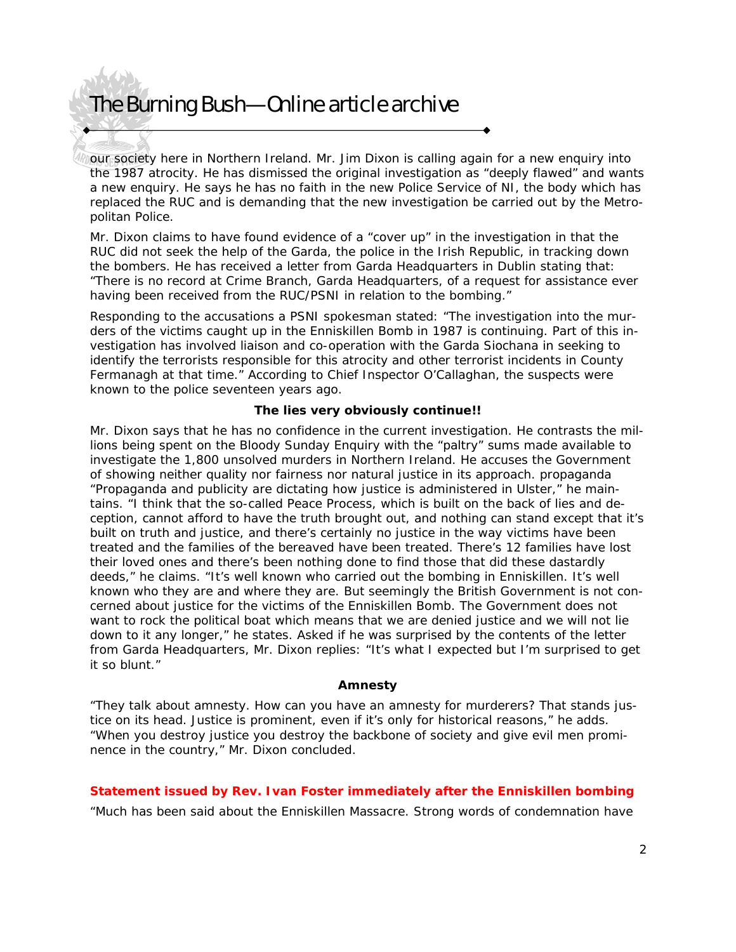# The Burning Bush—Online article archive

our society here in Northern Ireland. Mr. Jim Dixon is calling again for a new enquiry into the 1987 atrocity. He has dismissed the original investigation as "deeply flawed" and wants a new enquiry. He says he has no faith in the new Police Service of NI, the body which has replaced the RUC and is demanding that the new investigation be carried out by the Metropolitan Police.

Mr. Dixon claims to have found evidence of a "cover up" in the investigation in that the RUC did not seek the help of the Garda, the police in the Irish Republic, in tracking down the bombers. He has received a letter from Garda Headquarters in Dublin stating that: "There is no record at Crime Branch, Garda Headquarters, of a request for assistance ever having been received from the RUC/PSNI in relation to the bombing."

Responding to the accusations a PSNI spokesman stated: "The investigation into the murders of the victims caught up in the Enniskillen Bomb in 1987 is continuing. Part of this investigation has involved liaison and co-operation with the Garda Siochana in seeking to identify the terrorists responsible for this atrocity and other terrorist incidents in County Fermanagh at that time." According to Chief Inspector O'Callaghan, the suspects were known to the police seventeen years ago.

### **The lies very obviously continue!!**

Mr. Dixon says that he has no confidence in the current investigation. He contrasts the millions being spent on the Bloody Sunday Enquiry with the "paltry" sums made available to investigate the 1,800 unsolved murders in Northern Ireland. He accuses the Government of showing neither quality nor fairness nor natural justice in its approach. propaganda "Propaganda and publicity are dictating how justice is administered in Ulster," he maintains. "I think that the so-called Peace Process, which is built on the back of lies and deception, cannot afford to have the truth brought out, and nothing can stand except that it's built on truth and justice, and there's certainly no justice in the way victims have been treated and the families of the bereaved have been treated. There's 12 families have lost their loved ones and there's been nothing done to find those that did these dastardly deeds," he claims. "It's well known who carried out the bombing in Enniskillen. It's well known who they are and where they are. But seemingly the British Government is not concerned about justice for the victims of the Enniskillen Bomb. The Government does not want to rock the political boat which means that we are denied justice and we will not lie down to it any longer," he states. Asked if he was surprised by the contents of the letter from Garda Headquarters, Mr. Dixon replies: "It's what I expected but I'm surprised to get it so blunt."

#### **Amnesty**

"They talk about amnesty. How can you have an amnesty for murderers? That stands justice on its head. Justice is prominent, even if it's only for historical reasons," he adds. "When you destroy justice you destroy the backbone of society and give evil men prominence in the country," Mr. Dixon concluded.

#### **Statement issued by Rev. Ivan Foster immediately after the Enniskillen bombing**

"Much has been said about the Enniskillen Massacre. Strong words of condemnation have